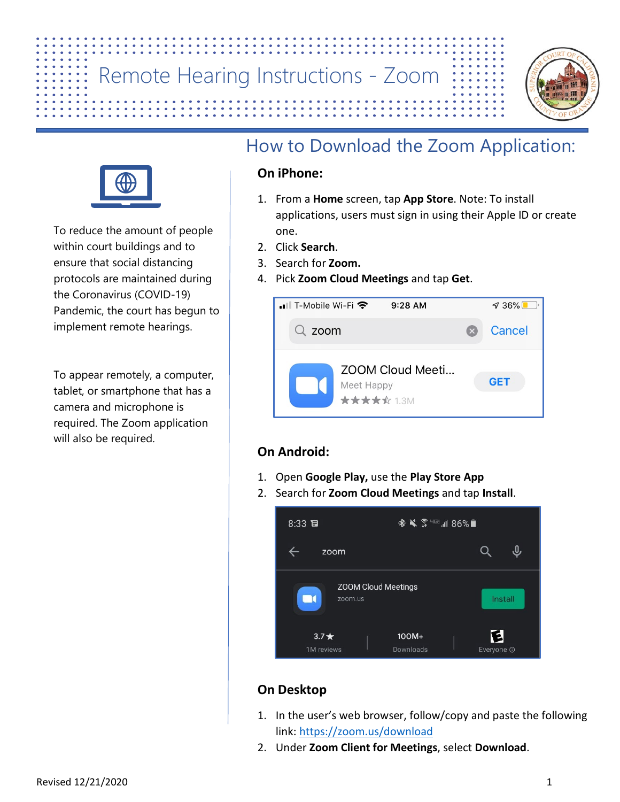## Remote Hearing Instructions - Zoom

## How to Download the Zoom Application:

#### **On iPhone:**

1. From a **Home** screen, tap **App Store**. Note: To install applications, users must sign in using their Apple ID or create one.

9:28 AM

ZOOM Cloud Meeti...

- 2. Click **Search**.
- 3. Search for **Zoom.**

• Ill T-Mobile Wi-Fi 중

 $Q$  zoom

4. Pick **Zoom Cloud Meetings** and tap **Get**.

#### **On Android:**

 $8:33$ 

 $\Box$ 

 $3.7*$ 

1M reviews

zoom

zoom.us

 $\leftarrow$ 

1. Open **Google Play,** use the **Play Store App**

**ZOOM Cloud Meetings** 

Meet Happy **\*\*\*\***\* 1.3M

2. Search for **Zoom Cloud Meetings** and tap **Install**.

### **On Desktop**

1. In the user's web browser, follow/copy and paste the following link: <https://zoom.us/download>

100M+

Downloads

※ ※ ☆ "三 ... || 86%■

2. Under **Zoom Client for Meetings**, select **Download**.





To reduce the amount of people within court buildings and to ensure that social distancing protocols are maintained during the Coronavirus (COVID-19) Pandemic, the court has begun to implement remote hearings.

To appear remotely, a computer, tablet, or smartphone that has a camera and microphone is required. The Zoom application will also be required.



 $\sqrt{36\%}$ 

Cancel

**GET** 

 $Q$ 

 $\hat{\bm{\theta}}$ 

Install

E

Everyone <sup>O</sup>

 $\mathbb{R}$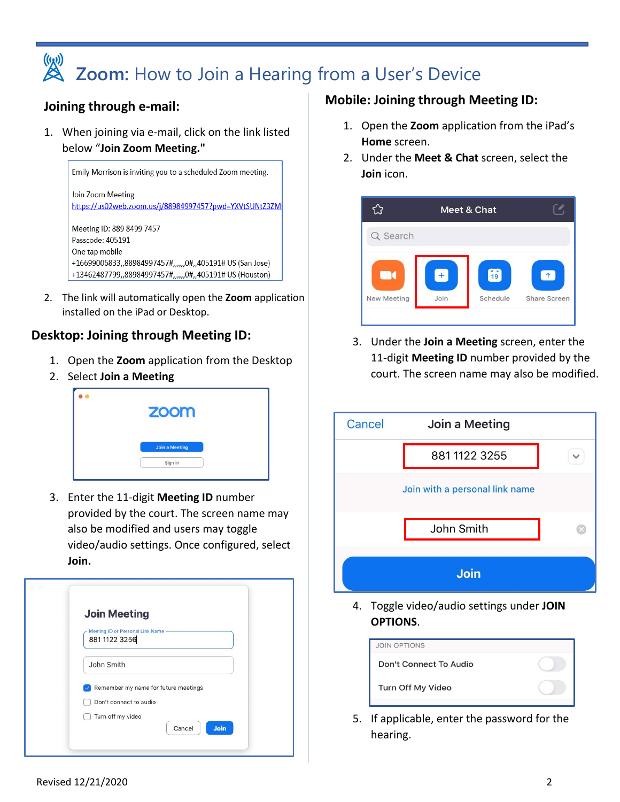# **Zoom:** How to Join a Hearing from a User's Device

#### **Joining through e-mail:**

1. When joining via e-mail, click on the link listed below "**Join Zoom Meeting."**



2. The link will automatically open the **Zoom** application installed on the iPad or Desktop.

#### **Desktop: Joining through Meeting ID:**

- 1. Open the **Zoom** application from the Desktop
- 2. Select **Join a Meeting**



3. Enter the 11-digit **Meeting ID** number provided by the court. The screen name may also be modified and users may toggle video/audio settings. Once configured, select **Join.**

| <b>Join Meeting</b>                                 |
|-----------------------------------------------------|
| Meeting ID or Personal Link Name -<br>881 1122 3256 |
| John Smith                                          |
| Remember my name for future meetings                |
| Don't connect to audio                              |
| Turn off my video                                   |

#### **Mobile: Joining through Meeting ID:**

- 1. Open the **Zoom** application from the iPad's **Home** screen.
- 2. Under the **Meet & Chat** screen, select the **Join** icon.



3. Under the **Join a Meeting** screen, enter the 11-digit **Meeting ID** number provided by the court. The screen name may also be modified.



4. Toggle video/audio settings under **JOIN OPTIONS**.

| <b>JOIN OPTIONS</b>    |  |
|------------------------|--|
| Don't Connect To Audio |  |
| Turn Off My Video      |  |

5. If applicable, enter the password for the hearing.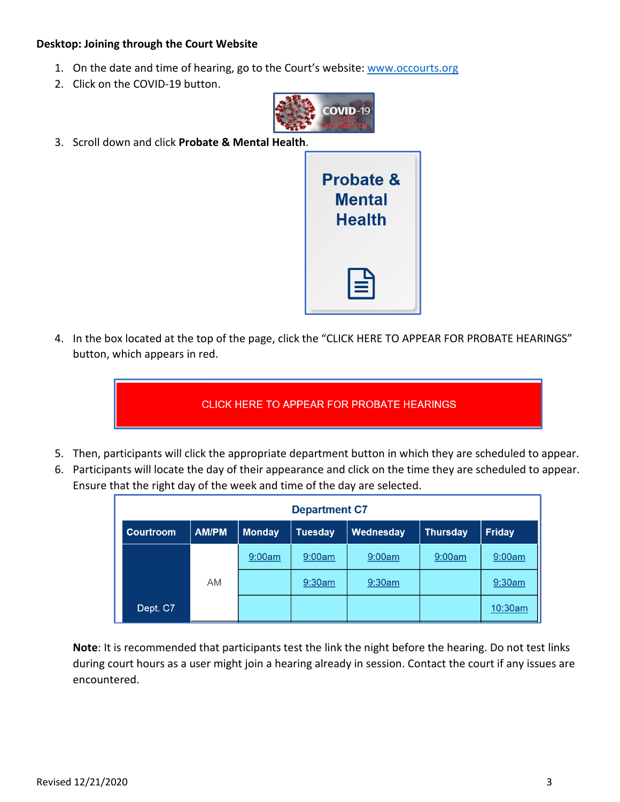#### **Desktop: Joining through the Court Website**

- 1. On the date and time of hearing, go to the Court's website: [www.occourts.org](http://www.occourts.org/)
- 2. Click on the COVID-19 button.



3. Scroll down and click **Probate & Mental Health**.



4. In the box located at the top of the page, click the "CLICK HERE TO APPEAR FOR PROBATE HEARINGS" button, which appears in red.

CLICK HERE TO APPEAR FOR PROBATE HEARINGS

- 5. Then, participants will click the appropriate department button in which they are scheduled to appear.
- 6. Participants will locate the day of their appearance and click on the time they are scheduled to appear. Ensure that the right day of the week and time of the day are selected.

| <b>Department C7</b> |              |               |                |           |                 |               |
|----------------------|--------------|---------------|----------------|-----------|-----------------|---------------|
| <b>Courtroom</b>     | <b>AM/PM</b> | <b>Monday</b> | <b>Tuesday</b> | Wednesday | <b>Thursday</b> | <b>Friday</b> |
|                      |              | 9:00am        | 9:00am         | 9:00am    | 9:00am          | 9:00am        |
|                      | <b>AM</b>    |               | 9:30am         | 9:30am    |                 | $9:30$ am     |
| Dept. C7             |              |               |                |           |                 | 10:30am       |

**Note**: It is recommended that participants test the link the night before the hearing. Do not test links during court hours as a user might join a hearing already in session. Contact the court if any issues are encountered.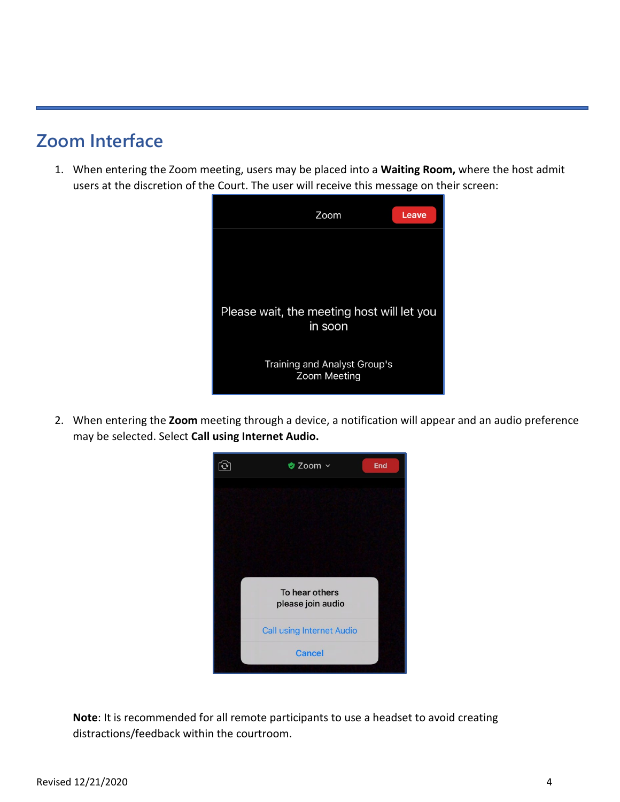## **Zoom Interface**

1. When entering the Zoom meeting, users may be placed into a **Waiting Room,** where the host admit users at the discretion of the Court. The user will receive this message on their screen:



2. When entering the **Zoom** meeting through a device, a notification will appear and an audio preference may be selected. Select **Call using Internet Audio.** 



**Note**: It is recommended for all remote participants to use a headset to avoid creating distractions/feedback within the courtroom.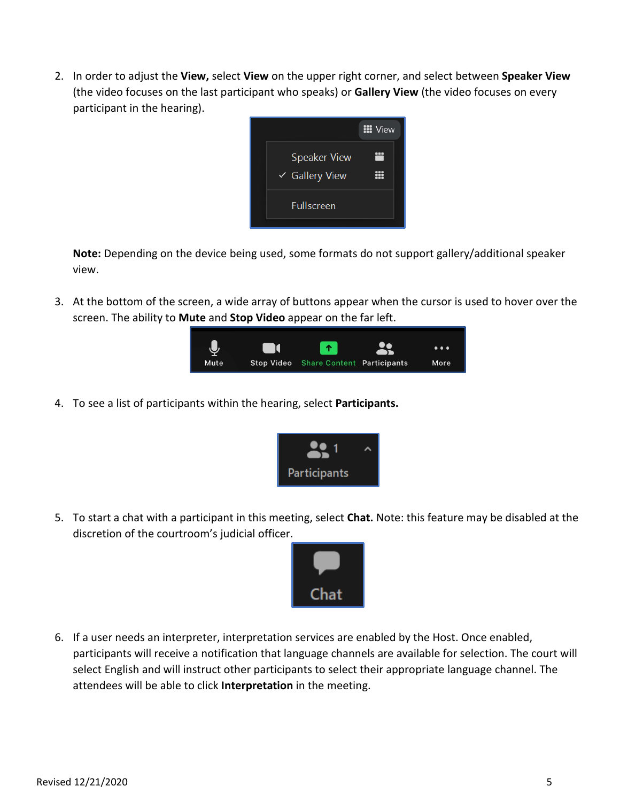2. In order to adjust the **View,** select **View** on the upper right corner, and select between **Speaker View**  (the video focuses on the last participant who speaks) or **Gallery View** (the video focuses on every participant in the hearing).



**Note:** Depending on the device being used, some formats do not support gallery/additional speaker view.

3. At the bottom of the screen, a wide array of buttons appear when the cursor is used to hover over the screen. The ability to **Mute** and **Stop Video** appear on the far left.



4. To see a list of participants within the hearing, select **Participants.** 



5. To start a chat with a participant in this meeting, select **Chat.** Note: this feature may be disabled at the discretion of the courtroom's judicial officer.



6. If a user needs an interpreter, interpretation services are enabled by the Host. Once enabled, participants will receive a notification that language channels are available for selection. The court will select English and will instruct other participants to select their appropriate language channel. The attendees will be able to click **Interpretation** in the meeting.